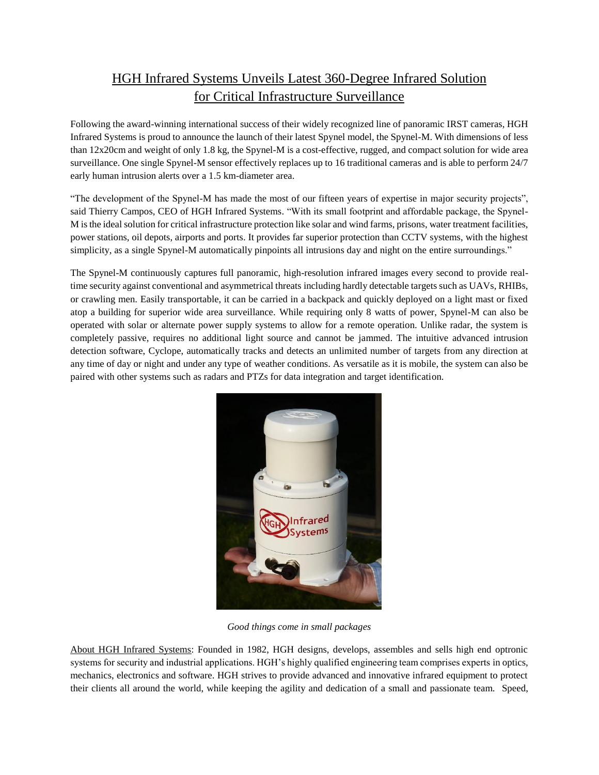## HGH Infrared Systems Unveils Latest 360-Degree Infrared Solution for Critical Infrastructure Surveillance

Following the award-winning international success of their widely recognized line of panoramic IRST cameras, HGH Infrared Systems is proud to announce the launch of their latest Spynel model, the Spynel-M. With dimensions of less than 12x20cm and weight of only 1.8 kg, the Spynel-M is a cost-effective, rugged, and compact solution for wide area surveillance. One single Spynel-M sensor effectively replaces up to 16 traditional cameras and is able to perform 24/7 early human intrusion alerts over a 1.5 km-diameter area.

"The development of the Spynel-M has made the most of our fifteen years of expertise in major security projects", said Thierry Campos, CEO of HGH Infrared Systems. "With its small footprint and affordable package, the Spynel-M is the ideal solution for critical infrastructure protection like solar and wind farms, prisons, water treatment facilities, power stations, oil depots, airports and ports. It provides far superior protection than CCTV systems, with the highest simplicity, as a single Spynel-M automatically pinpoints all intrusions day and night on the entire surroundings."

The Spynel-M continuously captures full panoramic, high-resolution infrared images every second to provide realtime security against conventional and asymmetrical threats including hardly detectable targets such as UAVs, RHIBs, or crawling men. Easily transportable, it can be carried in a backpack and quickly deployed on a light mast or fixed atop a building for superior wide area surveillance. While requiring only 8 watts of power, Spynel-M can also be operated with solar or alternate power supply systems to allow for a remote operation. Unlike radar, the system is completely passive, requires no additional light source and cannot be jammed. The intuitive advanced intrusion detection software, Cyclope, automatically tracks and detects an unlimited number of targets from any direction at any time of day or night and under any type of weather conditions. As versatile as it is mobile, the system can also be paired with other systems such as radars and PTZs for data integration and target identification.



*Good things come in small packages*

About HGH Infrared Systems: Founded in 1982, HGH designs, develops, assembles and sells high end optronic systems for security and industrial applications. HGH's highly qualified engineering team comprises experts in optics, mechanics, electronics and software. HGH strives to provide advanced and innovative infrared equipment to protect their clients all around the world, while keeping the agility and dedication of a small and passionate team. Speed,